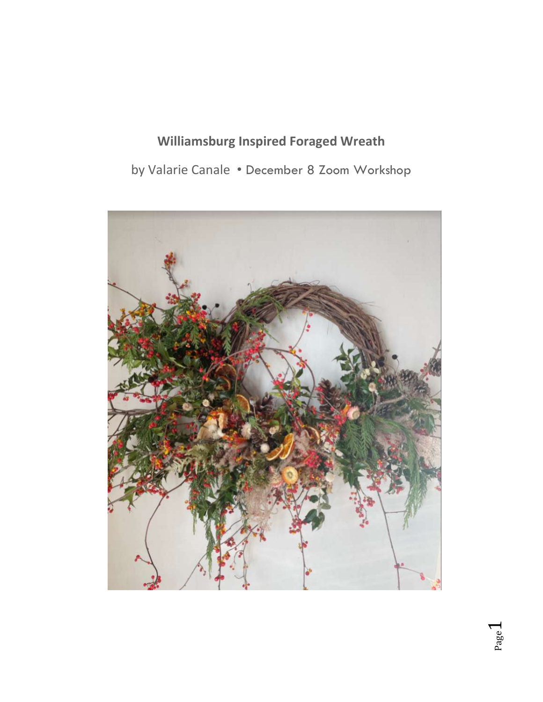# **Williamsburg Inspired Foraged Wreath**

by Valarie Canale • December 8 Zoom Workshop

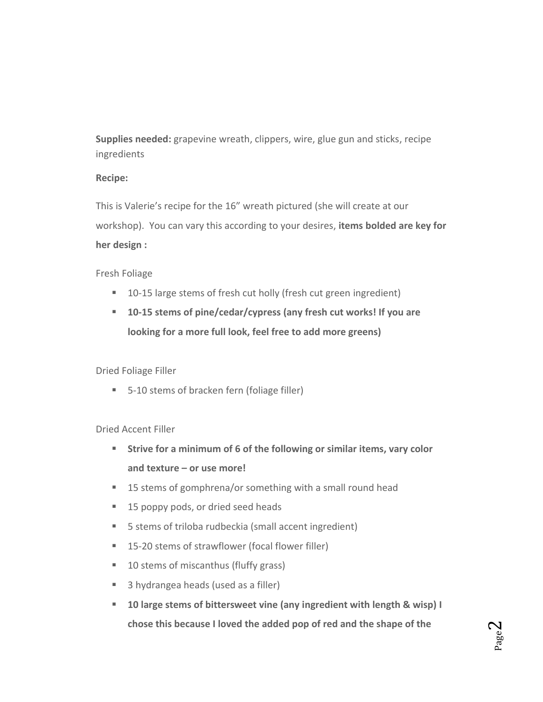**Supplies needed:** grapevine wreath, clippers, wire, glue gun and sticks, recipe ingredients

### **Recipe:**

This is Valerie's recipe for the 16" wreath pictured (she will create at our workshop). You can vary this according to your desires, **items bolded are key for her design :**

# Fresh Foliage

- 10-15 large stems of fresh cut holly (fresh cut green ingredient)
- **10-15 stems of pine/cedar/cypress (any fresh cut works! If you are looking for a more full look, feel free to add more greens)**

# Dried Foliage Filler

■ 5-10 stems of bracken fern (foliage filler)

# Dried Accent Filler

- **Strive for a minimum of 6 of the following or similar items, vary color and texture – or use more!**
- 15 stems of gomphrena/or something with a small round head
- 15 poppy pods, or dried seed heads
- 5 stems of triloba rudbeckia (small accent ingredient)
- 15-20 stems of strawflower (focal flower filler)
- 10 stems of miscanthus (fluffy grass)
- 3 hydrangea heads (used as a filler)
- **10 large stems of bittersweet vine (any ingredient with length & wisp) I chose this because I loved the added pop of red and the shape of the**